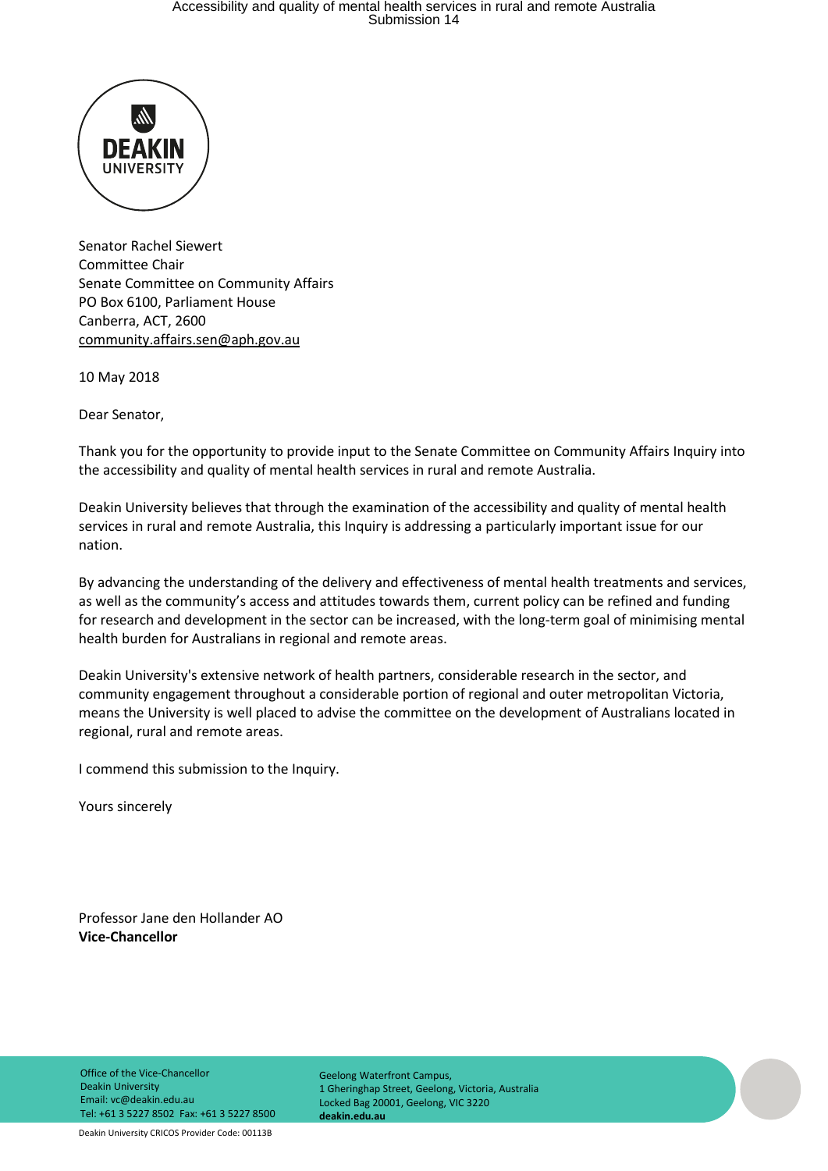# Accessibility and quality of mental health services in rural and remote Australia Submission 14



Senator Rachel Siewert Committee Chair Senate Committee on Community Affairs PO Box 6100, Parliament House Canberra, ACT, 2600 [community.affairs.sen@aph.gov.au](mailto:community.affairs.sen@aph.gov.au)

10 May 2018

Dear Senator,

Thank you for the opportunity to provide input to the Senate Committee on Community Affairs Inquiry into the accessibility and quality of mental health services in rural and remote Australia.

Deakin University believes that through the examination of the accessibility and quality of mental health services in rural and remote Australia, this Inquiry is addressing a particularly important issue for our nation.

By advancing the understanding of the delivery and effectiveness of mental health treatments and services, as well as the community's access and attitudes towards them, current policy can be refined and funding for research and development in the sector can be increased, with the long-term goal of minimising mental health burden for Australians in regional and remote areas.

Deakin University's extensive network of health partners, considerable research in the sector, and community engagement throughout a considerable portion of regional and outer metropolitan Victoria, means the University is well placed to advise the committee on the development of Australians located in regional, rural and remote areas.

I commend this submission to the Inquiry.

Yours sincerely

Professor Jane den Hollander AO **Vice-Chancellor**

Office of the Vice-Chancellor Deakin University Email: vc@deakin.edu.au Tel: +61 3 5227 8502 Fax: +61 3 5227 8500

Geelong Waterfront Campus, 1 Gheringhap Street, Geelong, Victoria, Australia Locked Bag 20001, Geelong, VIC 3220 **deakin.edu.au**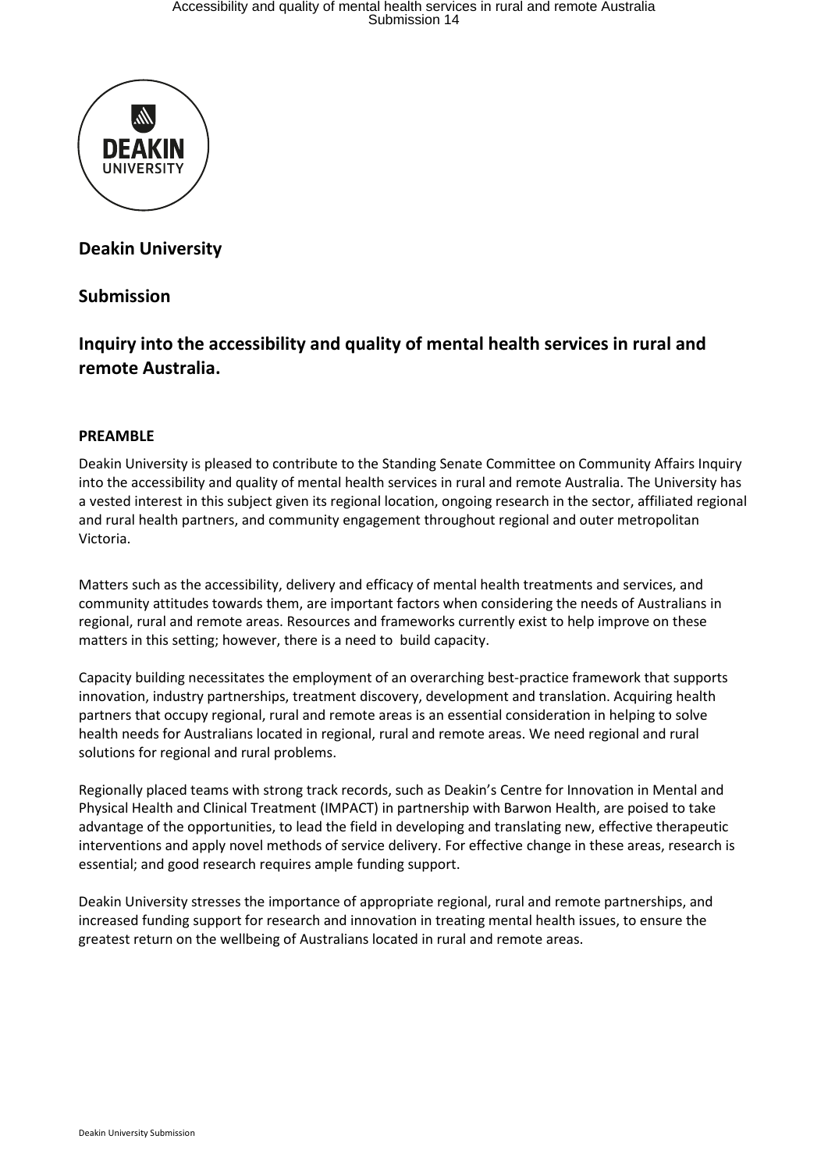

## **Deakin University**

### **Submission**

## **Inquiry into the accessibility and quality of mental health services in rural and remote Australia.**

#### **PREAMBLE**

Deakin University is pleased to contribute to the Standing Senate Committee on Community Affairs Inquiry into the accessibility and quality of mental health services in rural and remote Australia. The University has a vested interest in this subject given its regional location, ongoing research in the sector, affiliated regional and rural health partners, and community engagement throughout regional and outer metropolitan Victoria.

Matters such as the accessibility, delivery and efficacy of mental health treatments and services, and community attitudes towards them, are important factors when considering the needs of Australians in regional, rural and remote areas. Resources and frameworks currently exist to help improve on these matters in this setting; however, there is a need to build capacity.

Capacity building necessitates the employment of an overarching best-practice framework that supports innovation, industry partnerships, treatment discovery, development and translation. Acquiring health partners that occupy regional, rural and remote areas is an essential consideration in helping to solve health needs for Australians located in regional, rural and remote areas. We need regional and rural solutions for regional and rural problems.

Regionally placed teams with strong track records, such as Deakin's Centre for Innovation in Mental and Physical Health and Clinical Treatment (IMPACT) in partnership with Barwon Health, are poised to take advantage of the opportunities, to lead the field in developing and translating new, effective therapeutic interventions and apply novel methods of service delivery. For effective change in these areas, research is essential; and good research requires ample funding support.

Deakin University stresses the importance of appropriate regional, rural and remote partnerships, and increased funding support for research and innovation in treating mental health issues, to ensure the greatest return on the wellbeing of Australians located in rural and remote areas.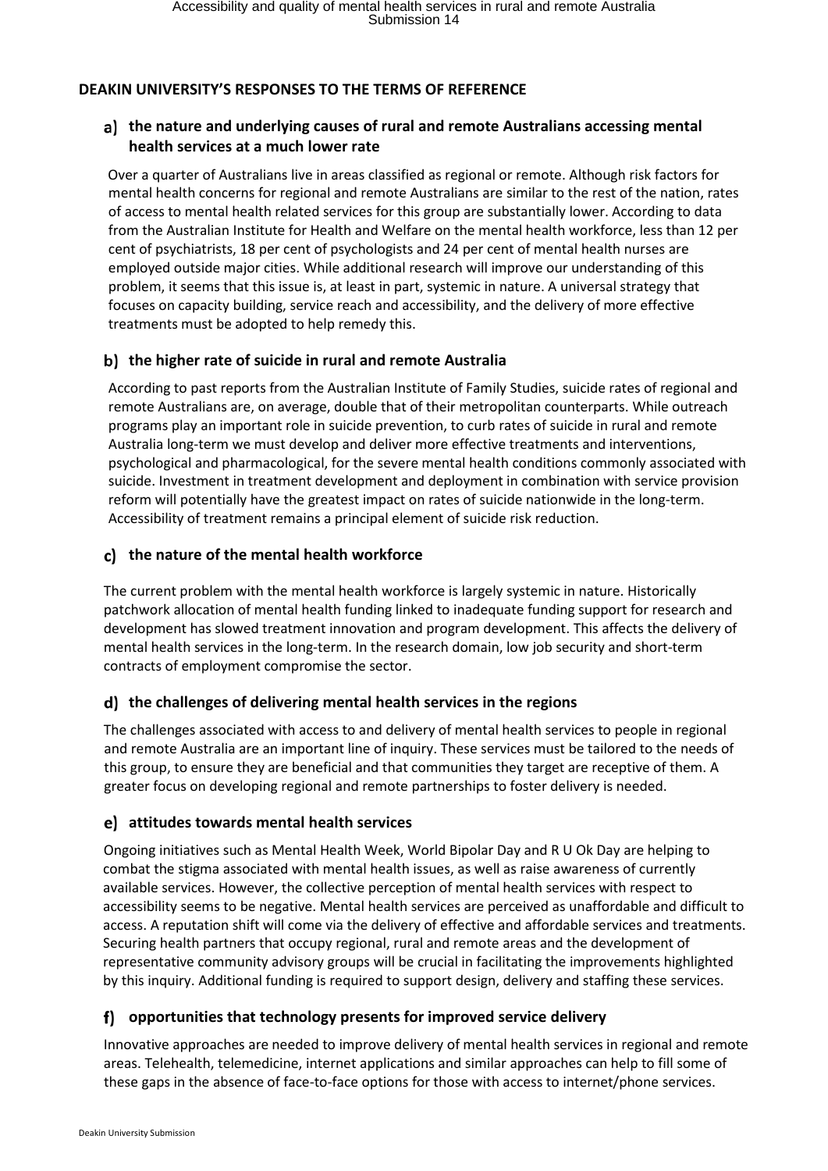#### **DEAKIN UNIVERSITY'S RESPONSES TO THE TERMS OF REFERENCE**

#### **the nature and underlying causes of rural and remote Australians accessing mental health services at a much lower rate**

Over a quarter of Australians live in areas classified as regional or remote. Although risk factors for mental health concerns for regional and remote Australians are similar to the rest of the nation, rates of access to mental health related services for this group are substantially lower. According to data from the Australian Institute for Health and Welfare on the mental health workforce, less than 12 per cent of psychiatrists, 18 per cent of psychologists and 24 per cent of mental health nurses are employed outside major cities. While additional research will improve our understanding of this problem, it seems that this issue is, at least in part, systemic in nature. A universal strategy that focuses on capacity building, service reach and accessibility, and the delivery of more effective treatments must be adopted to help remedy this.

#### **the higher rate of suicide in rural and remote Australia**

According to past reports from the Australian Institute of Family Studies, suicide rates of regional and remote Australians are, on average, double that of their metropolitan counterparts. While outreach programs play an important role in suicide prevention, to curb rates of suicide in rural and remote Australia long-term we must develop and deliver more effective treatments and interventions, psychological and pharmacological, for the severe mental health conditions commonly associated with suicide. Investment in treatment development and deployment in combination with service provision reform will potentially have the greatest impact on rates of suicide nationwide in the long-term. Accessibility of treatment remains a principal element of suicide risk reduction.

#### **the nature of the mental health workforce**

The current problem with the mental health workforce is largely systemic in nature. Historically patchwork allocation of mental health funding linked to inadequate funding support for research and development has slowed treatment innovation and program development. This affects the delivery of mental health services in the long-term. In the research domain, low job security and short-term contracts of employment compromise the sector.

#### **the challenges of delivering mental health services in the regions**

The challenges associated with access to and delivery of mental health services to people in regional and remote Australia are an important line of inquiry. These services must be tailored to the needs of this group, to ensure they are beneficial and that communities they target are receptive of them. A greater focus on developing regional and remote partnerships to foster delivery is needed.

#### **attitudes towards mental health services**

Ongoing initiatives such as Mental Health Week, World Bipolar Day and R U Ok Day are helping to combat the stigma associated with mental health issues, as well as raise awareness of currently available services. However, the collective perception of mental health services with respect to accessibility seems to be negative. Mental health services are perceived as unaffordable and difficult to access. A reputation shift will come via the delivery of effective and affordable services and treatments. Securing health partners that occupy regional, rural and remote areas and the development of representative community advisory groups will be crucial in facilitating the improvements highlighted by this inquiry. Additional funding is required to support design, delivery and staffing these services.

#### **opportunities that technology presents for improved service delivery**

Innovative approaches are needed to improve delivery of mental health services in regional and remote areas. Telehealth, telemedicine, internet applications and similar approaches can help to fill some of these gaps in the absence of face-to-face options for those with access to internet/phone services.